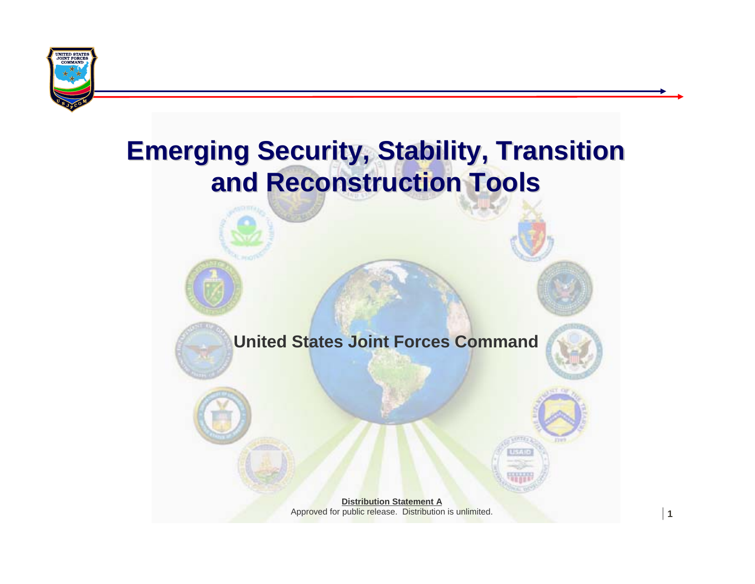

## **Emerging Security, Stability, Transition Emerging Security, Stability, Transition and Reconstruction Tools and Reconstruction Tools**



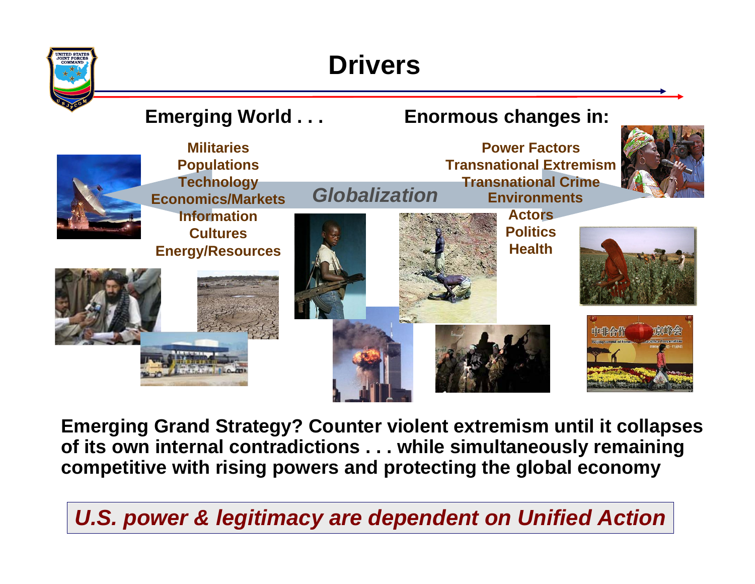

## **Drivers**



**Emerging Grand Strategy? Counter violent extremism until it collapses of its own internal contradictions . . . while simultaneously remaining competitive with rising powers and protecting the global economy**

| **2** *U.S. power & legitimacy are dependent on Unified Action*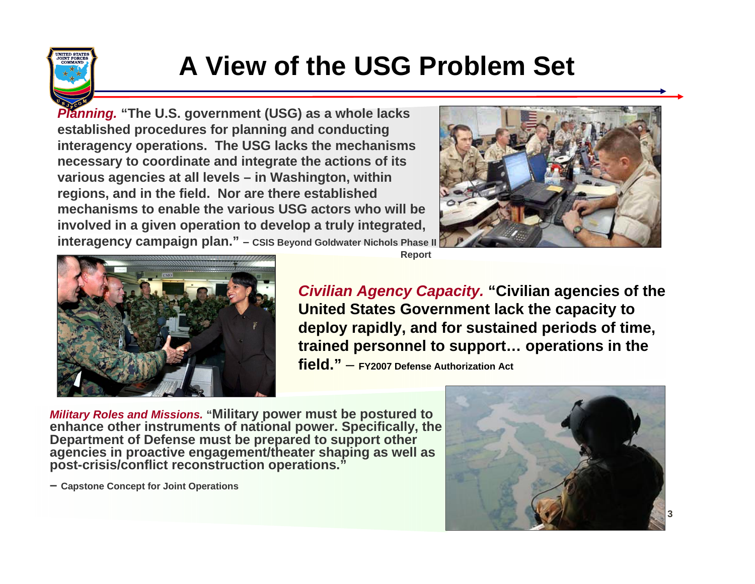

## **A View of the USG Problem Set**

*Planning.* **"The U.S. government (USG) as a whole lacks established procedures for planning and conducting interagency operations. The USG lacks the mechanisms necessary to coordinate and integrate the actions of its various agencies at all levels – in Washington, within regions, and in the field. Nor are there established mechanisms to enable the various USG actors who will be involved in a given operation to develop a truly integrated, interagency campaign plan." – CSIS Beyond Goldwater Nichols Phase II** 





**Report**

*Civilian Agency Capacity.* **"Civilian agencies of the United States Government lack the capacity to deploy rapidly, and for sustained periods of time, trained personnel to support… operations in the field."**– **FY2007 Defense Authorization Act**

*Military Roles and Missions.* **"Military power must be postured to enhance other instruments of national power. Specifically, the Department of Defense must be prepared to support other agencies in proactive engagement/theater shaping as well as post-crisis/conflict reconstruction operations."**



**– Capstone Concept for Joint Operations**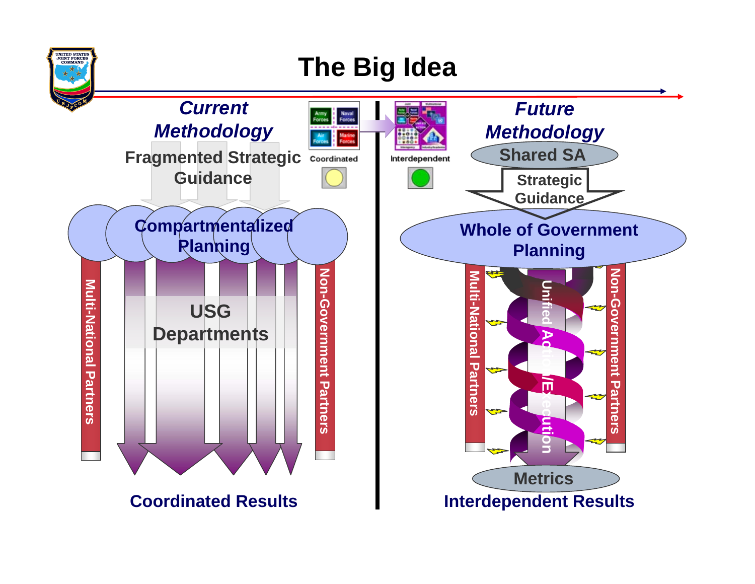

## **The Big Idea**

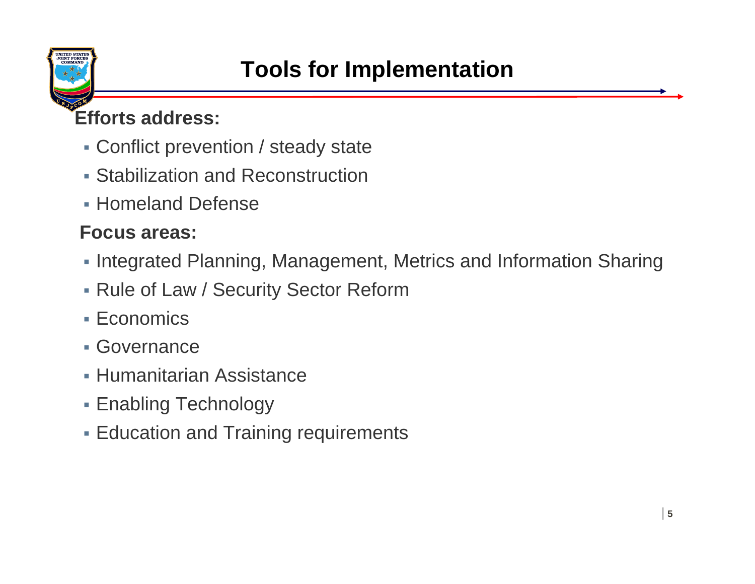

### **Efforts address:**

- Conflict prevention / steady state
- Stabilization and Reconstruction
- Homeland Defense

#### **Focus areas:**

- **Integrated Planning, Management, Metrics and Information Sharing**
- Rule of Law / Security Sector Reform
- Economics
- Governance
- Humanitarian Assistance
- Enabling Technology
- Education and Training requirements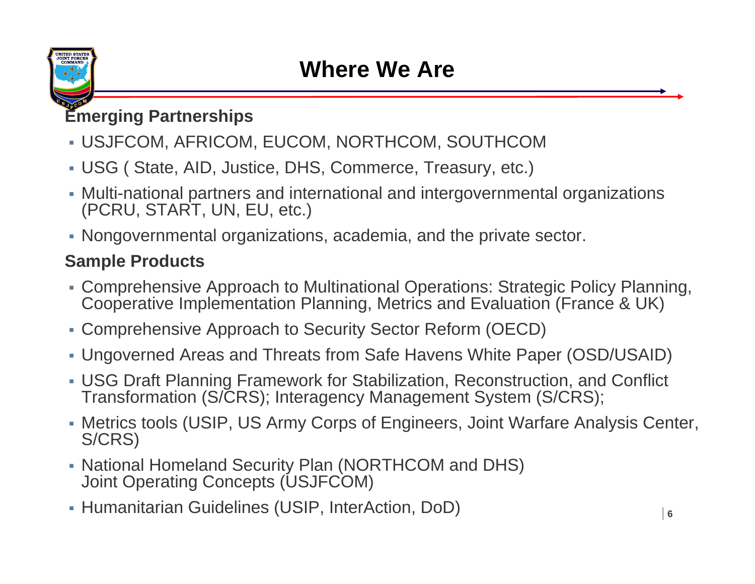

#### **Emerging Partnerships**

- USJFCOM, AFRICOM, EUCOM, NORTHCOM, SOUTHCOM
- USG ( State, AID, Justice, DHS, Commerce, Treasury, etc.)
- Multi-national partners and international and intergovernmental organizations (PCRU, START, UN, EU, etc.)
- Nongovernmental organizations, academia, and the private sector.

#### **Sample Products**

- Comprehensive Approach to Multinational Operations: Strategic Policy Planning, Cooperative Implementation Planning, Metrics and Evaluation (France & UK)
- Comprehensive Approach to Security Sector Reform (OECD)
- Ungoverned Areas and Threats from Safe Havens White Paper (OSD/USAID)
- USG Draft Planning Framework for Stabilization, Reconstruction, and Conflict Transformation (S/CRS); Interagency Management System (S/CRS);
- Metrics tools (USIP, US Army Corps of Engineers, Joint Warfare Analysis Center, S/CRS)
- National Homeland Security Plan (NORTHCOM and DHS) Joint Operating Concepts (USJFCOM)
- Humanitarian Guidelines (USIP, InterAction, DoD)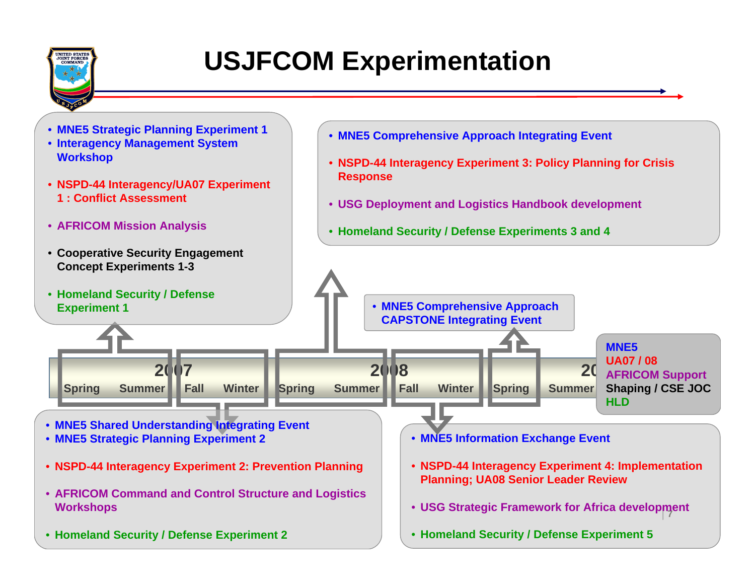

## **USJFCOM Experimentation**

- **MNE5 Strategic Planning Experiment 1**
- **Interagency Management System Workshop**
- **NSPD-44 Interagency/UA07 Experiment 1 : Conflict Assessment**
- **AFRICOM Mission Analysis**
- **Cooperative Security Engagement Concept Experiments 1-3**
- **MNE5 Comprehensive Approach Integrating Event**
- **NSPD-44 Interagency Experiment 3: Policy Planning for Crisis Response**
- **USG Deployment and Logistics Handbook development**
- **Homeland Security / Defense Experiments 3 and 4**

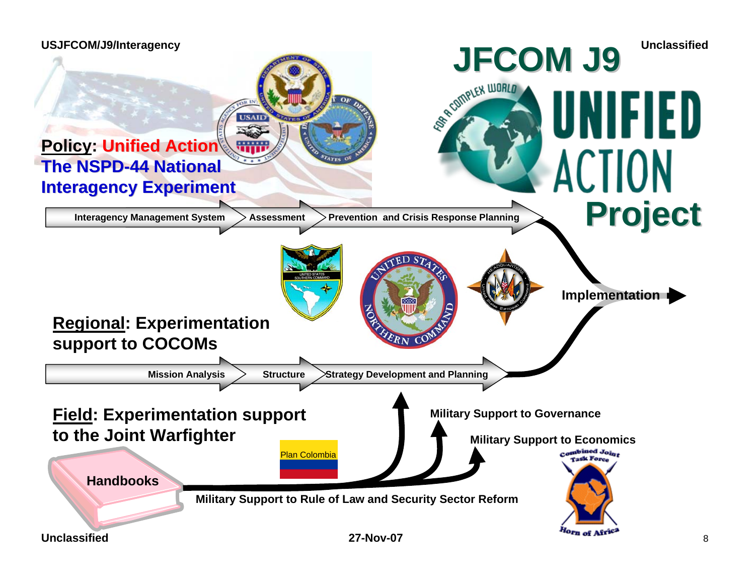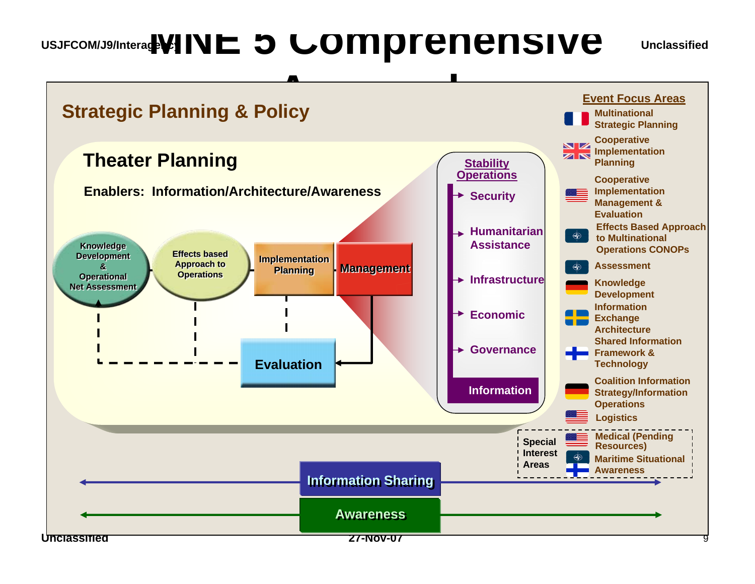## **USJFCOM/J9/Interagency MNE 5 Comprehensive**

#### **Unclassified**

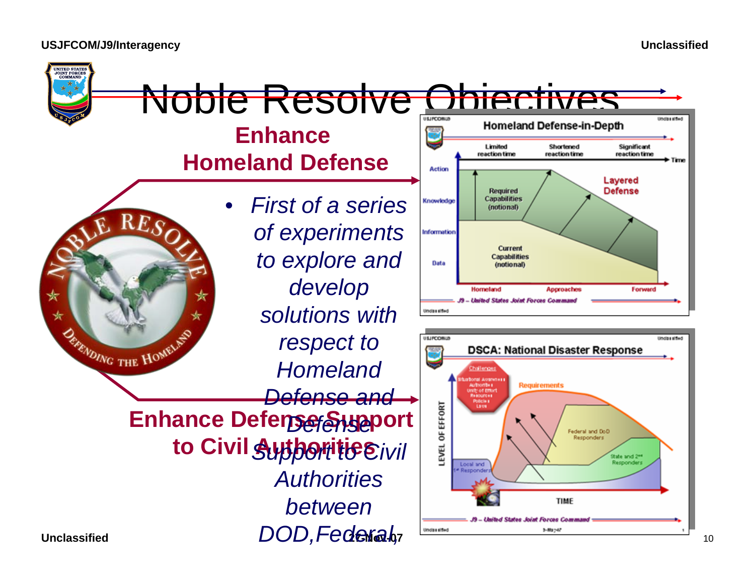**USJFCOM/J9/Interagency**